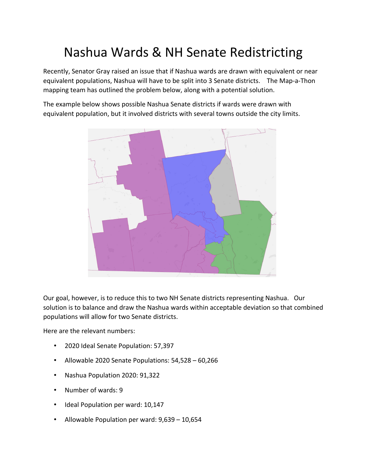## Nashua Wards & NH Senate Redistricting

Recently, Senator Gray raised an issue that if Nashua wards are drawn with equivalent or near equivalent populations, Nashua will have to be split into 3 Senate districts. The Map-a-Thon mapping team has outlined the problem below, along with a potential solution.

The example below shows possible Nashua Senate districts if wards were drawn with equivalent population, but it involved districts with several towns outside the city limits.



Our goal, however, is to reduce this to two NH Senate districts representing Nashua. Our solution is to balance and draw the Nashua wards within acceptable deviation so that combined populations will allow for two Senate districts.

Here are the relevant numbers:

- 2020 Ideal Senate Population: 57,397
- Allowable 2020 Senate Populations: 54,528 60,266
- Nashua Population 2020: 91,322
- Number of wards: 9
- Ideal Population per ward: 10,147
- Allowable Population per ward: 9,639 10,654